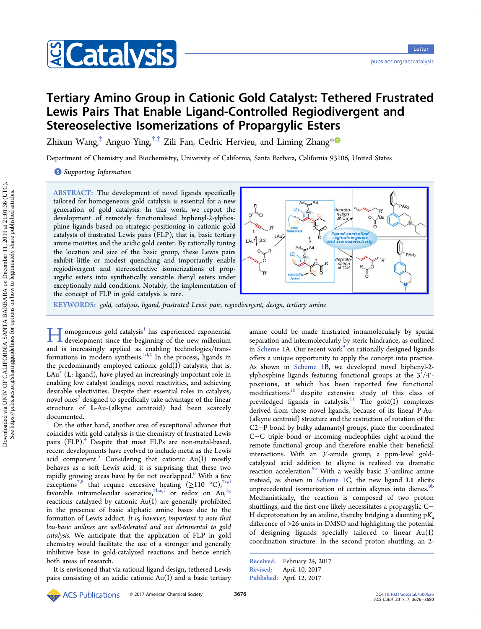

# Tertiary Amino Group in Cationic Gold Catalyst: Tethered Frustrated Lewis Pairs That Enable Ligand-Controlled Regiodivergent and Stereoselective Isomerizations of Propargylic Esters

Zhixun Wang,<sup>[‡](#page-4-0)</sup> Anguo Ying,<sup>[†](#page-4-0),‡</sup> Zili Fan, Cedric Hervieu, and Liming Zhang<sup>[\\*](#page-4-0)</sub></sup>

Department of Chemistry and Biochemistry, University of California, Santa Barbara, California 93106, United States

**S** [Supporting Information](#page-4-0)

ABSTRACT: The development of novel ligands specifically tailored for homogeneous gold catalysis is essential for a new generation of gold catalysis. In this work, we report the development of remotely functionalized biphenyl-2-ylphosphine ligands based on strategic positioning in cationic gold catalysts of frustrated Lewis pairs (FLP), that is, basic tertiary amine moieties and the acidic gold center. By rationally tuning the location and size of the basic group, these Lewis pairs exhibit little or modest quenching and importantly enable regiodivergent and stereoselective isomerizations of propargylic esters into synthetically versatile dienyl esters under exceptionally mild conditions. Notably, the implementation of the concept of FLP in gold catalysis is rare.



KEYWORDS: gold, catalysis, ligand, frustrated Lewis pair, regiodivergent, design, tertiary amine

omogeneous gold catalysis $^1$  has experienced exponential development since the beginning of the new millenium and is increasingly applied as enabling technologies/trans-formations in modern synthesis.<sup>[1d,2](#page-4-0)</sup> In the process, ligands in the predominantly employed cationic gold(I) catalysts, that is,  $\text{LAu}^+$  (L: ligand), have played an increasingly important role in enabling low catalyst loadings, novel reactivities, and achieving desirable selectivities. Despite their essential roles in catalysis, novel ones<sup>[3](#page-4-0)</sup> designed to specifically take advantage of the linear structure of L-Au-(alkyne centroid) had been scarcely documented.

On the other hand, another area of exceptional advance that coincides with gold catalysis is the chemistry of frustrated Lewis pairs (FLP).<sup>[4](#page-4-0)</sup> Despite that most FLPs are non-metal-based, recent developments have evolved to include metal as the Lewis acid component.<sup>[5](#page-4-0)</sup> Considering that cationic  $Au(I)$  mostly behaves as a soft Lewis acid, it is surprising that these two rapidly growing areas have by far not overlapped.<sup>[6](#page-4-0)</sup> With a few exceptions<sup>[7,8](#page-4-0)</sup> that require excessive heating  $(≥110 °C)$ ,<sup>[7c](#page-4-0),[d](#page-4-0)</sup> [f](#page-4-0)avorable intramolecular scenarios, $^{7b,e,f}$  $^{7b,e,f}$  $^{7b,e,f}$  or redox on Au, $^{7g}$  $^{7g}$  $^{7g}$ reactions catalyzed by cationic Au(I) are generally prohibited in the presence of basic aliphatic amine bases due to the formation of Lewis adduct. It is, however, important to note that less-basic anilines are well-tolerated and not detrimental to gold catalysis. We anticipate that the application of FLP in gold chemistry would facilitate the use of a stronger and generally inhibitive base in gold-catalyzed reactions and hence enrich both areas of research.

It is envisioned that via rational ligand design, tethered Lewis pairs consisting of an acidic cationic  $Au(I)$  and a basic tertiary amine could be made frustrated intramolecularly by spatial separation and intermolecularly by steric hindrance, as outlined in [Scheme 1](#page-1-0)A. Our recent work $\degree$  on rationally designed ligands offers a unique opportunity to apply the concept into practice. As shown in [Scheme 1](#page-1-0)B, we developed novel biphenyl-2 ylphosphine ligands featuring functional groups at the 3′/4′ positions, at which has been reported few functional modifications<sup>[10](#page-4-0)</sup> despite extensive study of this class of previledged ligands in catalysis.<sup>[11](#page-4-0)</sup> The  $gold(I)$  complexes derived from these novel ligands, because of its linear P-Au- (alkyne centroid) structure and the restriction of rotation of the C2−P bond by bulky adamantyl groups, place the coordinated C−C triple bond or incoming nucleophiles right around the remote functional group and therefore enable their beneficial interactions. With an 3′-amide group, a ppm-level goldcatalyzed acid addition to alkyne is realized via dramatic reaction acceleration.<sup>[9a](#page-4-0)</sup> With a weakly basic  $3'$ -anilinic amine instead, as shown in [Scheme 1](#page-1-0)C, the new ligand L1 elicits unprecedented isomerization of certain alkynes into dienes.<sup>[9b](#page-4-0)</sup> Mechanistically, the reaction is composed of two proton shuttlings, and the first one likely necessitates a propargylic C− H deprotonation by an aniline, thereby bridging a daunting  $pK_a$ difference of >26 units in DMSO and highlighting the potential of designing ligands specially tailored to linear Au(I) coordination structure. In the second proton shuttling, an 2-

Received: February 24, 2017 Revised: April 10, 2017 Published: April 12, 2017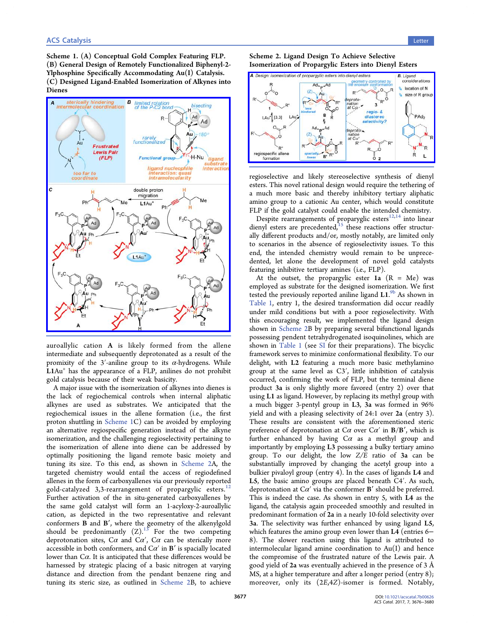<span id="page-1-0"></span>Scheme 1. (A) Conceptual Gold Complex Featuring FLP. (B) General Design of Remotely Functionalized Biphenyl-2- Ylphosphine Specifically Accommodating Au(I) Catalysis. (C) Designed Ligand-Enabled Isomerization of Alkynes into Dienes



auroallylic cation A is likely formed from the allene intermediate and subsequently deprotonated as a result of the promixity of the 3'-aniline group to its  $\alpha$ -hydrogens. While L1Au<sup>+</sup> has the appearance of a FLP, anilines do not prohibit gold catalysis because of their weak basicity.

A major issue with the isomerization of alkynes into dienes is the lack of regiochemical controls when internal aliphatic alkynes are used as substrates. We anticipated that the regiochemical issues in the allene formation (i.e., the first proton shuttling in Scheme 1C) can be avoided by employing an alternative regiospecific generation instead of the alkyne isomerization, and the challenging regioselectivity pertaining to the isomerization of allene into diene can be addressed by optimally positioning the ligand remote basic moiety and tuning its size. To this end, as shown in Scheme 2A, the targeted chemistry would entail the access of regiodefined allenes in the form of carboxyallenes via our previously reported gold-catalyzed 3,3-rearrangement of propargylic esters.<sup>[12](#page-4-0)</sup> Further activation of the in situ-generated carboxyallenes by the same gold catalyst will form an 1-acyloxy-2-auroallylic cation, as depicted in the two representative and relevant conformers B and B′, where the geometry of the alkenylgold should be predonimantly  $(Z)$ .<sup>[13](#page-4-0)</sup> For the two competing deprotonation sites,  $C\alpha$  and  $C\alpha'$ ,  $C\alpha$  can be sterically more accessible in both conformers, and  $C\alpha'$  in  $B'$  is spacially located lower than  $Ca$ . It is anticipated that these differences would be harnessed by strategic placing of a basic nitrogen at varying distance and direction from the pendant benzene ring and tuning its steric size, as outlined in Scheme 2B, to achieve





regioselective and likely stereoselective synthesis of dienyl esters. This novel rational design would require the tethering of a much more basic and thereby inhibitory tertiary aliphatic amino group to a cationic Au center, which would constitute FLP if the gold catalyst could enable the intended chemistry.

Despite rearrangements of proparyglic esters $^{12,14}$  $^{12,14}$  $^{12,14}$  into linear dienyl esters are precedented, $15$  these reactions offer structurally different products and/or, mostly notably, are limited only to scenarios in the absence of regioselectivity issues. To this end, the intended chemistry would remain to be unprecedented, let alone the development of novel gold catalysts featuring inhibitive tertiary amines (i.e., FLP).

At the outset, the propargylic ester 1a  $(R = Me)$  was employed as substrate for the designed isomerization. We first tested the previously reported aniline ligand L1.<sup>[9b](#page-4-0)</sup> As shown in [Table 1](#page-2-0), entry 1, the desired transformation did occur readily under mild conditions but with a poor regioselectivity. With this encouraging result, we implemented the ligand design shown in Scheme 2B by preparing several bifunctional ligands possessing pendent tetrahydrogenated isoquinolines, which are shown in [Table 1](#page-2-0) (see [SI](#page-4-0) for their preparations). The bicyclic framework serves to minimize conformational flexibility. To our delight, with L2 featuring a much more basic methylamino group at the same level as C3′, little inhibition of catalysis occurred, confirming the work of FLP, but the terminal diene product 3a is only slightly more favored (entry 2) over that using L1 as ligand. However, by replacing its methyl group with a much bigger 3-pentyl group in L3, 3a was formed in 96% yield and with a pleasing selectivity of 24:1 over 2a (entry 3). These results are consistent with the aforementioned steric preference of deprotonation at  $C\alpha$  over  $C\alpha'$  in  $B/B'$ , which is further enhanced by having  $Ca$  as a methyl group and importantly by employing L3 possessing a bulky tertiary amino group. To our delight, the low Z/E ratio of 3a can be substantially improved by changing the acetyl group into a bulkier pivaloyl group (entry 4). In the cases of ligands L4 and L5, the basic amino groups are placed beneath C4′. As such, deprotonation at  $Ca'$  via the conformer **B**' should be preferred. This is indeed the case. As shown in entry 5, with L4 as the ligand, the catalysis again proceeded smoothly and resulted in predominant formation of 2a in a nearly 10-fold selectivity over 3a. The selectivity was further enhanced by using ligand L5, which features the amino group even lower than L4 (entries 6– 8). The slower reaction using this ligand is attributed to intermolecular ligand amine coordination to Au(I) and hence the compromise of the frustrated nature of the Lewis pair. A good yield of 2a was eventually achieved in the presence of 3 Å MS, at a higher temperature and after a longer period (entry 8); moreover, only its (2E,4Z)-isomer is formed. Notably,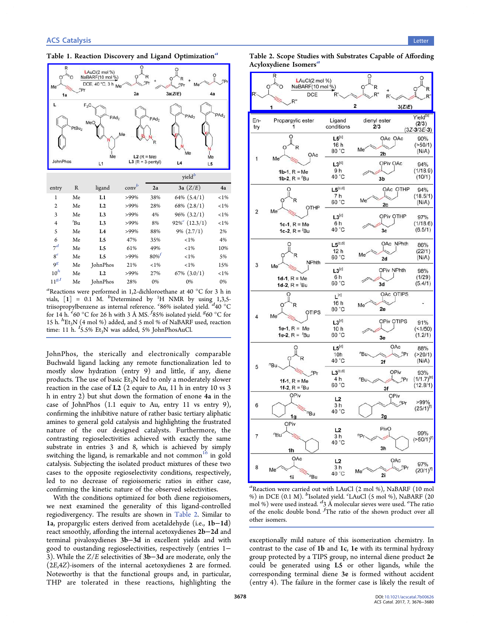## <span id="page-2-0"></span>Table 1. Reaction Discovery and Ligand Optimization<sup>a</sup>



| entry          | R               | ligand          | conv <sup>b</sup> | 2a      | 3a (Z/E)                     | 4a      |
|----------------|-----------------|-----------------|-------------------|---------|------------------------------|---------|
| 1              | Me              | L1              | >99%              | 38%     | $64\%$ $(5.4/1)$             | $< 1\%$ |
| $\mathfrak{2}$ | Me              | L2              | >99%              | 28%     | $68\%$ $(2.8/1)$             | $< 1\%$ |
| 3              | Me              | L <sub>3</sub>  | >99%              | 4%      | $96\%$ $(3.2/1)$             | $< 1\%$ |
| 4              | <sup>t</sup> Bu | L <sub>3</sub>  | >99%              | 8%      | $92\%$ <sup>c</sup> (12.3/1) | $< 1\%$ |
| 5              | Me              | L4              | >99%              | 88%     | $9\%$ $(2.7/1)$              | 2%      |
| 6              | Me              | L5              | 47%               | 35%     | $< 1\%$                      | 4%      |
| $7^d$          | Me              | L5              | 61%               | 49%     | $< 1\%$                      | 10%     |
| $8^e$          | Me              | L5              | >99%              | $80\%$  | $< 1\%$                      | 5%      |
| 9 <sup>g</sup> | Me              | <b>JohnPhos</b> | 21%               | $< 1\%$ | $< 1\%$                      | 15%     |
| $10^h$         | Me              | L2              | >99%              | 27%     | $67\%$ $(3.0/1)$             | $< 1\%$ |
| $11^{g,I}$     | Me              | <b>JohnPhos</b> | 28%               | 0%      | 0%                           | 0%      |

<sup>a</sup>Reactions were performed in 1,2-dichloroethane at 40 °C for 3 h in vials,  $[1] = 0.1$  M. <sup>b</sup>Determined by <sup>1</sup>H NMR by using 1,3,5triisopropylbenzene as internal reference.  $86\%$  isolated yield.  $d40^\circ$ C for 14 h.  $^{e}60^{\circ}$ C for 26 h with 3 Å MS.  $^{f}85\%$  isolated yield.  $^{g}60^{\circ}$ C for 15 h.  ${}^{h}Et_{3}N$  (4 mol %) added, and 5 mol % of NaBARF used, reaction time: 11 h.  $I_{5.5\%}$  Et<sub>3</sub>N was added, 5% JohnPhosAuCl.

JohnPhos, the sterically and electronically comparable Buchwald ligand lacking any remote functionalization led to mostly slow hydration (entry 9) and little, if any, diene products. The use of basic  $Et_3N$  led to only a moderately slower reaction in the case of L2 (2 equiv to Au, 11 h in entry 10 vs 3 h in entry 2) but shut down the formation of enone 4a in the case of JohnPhos (1.1 equiv to Au, entry 11 vs entry 9), confirming the inhibitive nature of rather basic tertiary aliphatic amines to general gold catalysis and highlighting the frustrated nature of the our designed catalysts. Furthermore, the contrasting regioselectivities achieved with exactly the same substrate in entries 3 and 8, which is achieved by simply switching the ligand, is remarkable and not common<sup>16</sup> in gold catalysis. Subjecting the isolated product mixtures of these two cases to the opposite regioselectivity conditions, respectively, led to no decrease of regioisomeric ratios in either case, confirming the kinetic nature of the observed selectivities.

With the conditions optimized for both diene regioisomers, we next examined the generality of this ligand-controlled regiodivergency. The results are shown in Table 2. Similar to 1a, propargylic esters derived from acetaldehyde (i.e., 1b−1d) react smoothly, affording the internal acetoxydienes 2b−2d and terminal pivaloxydienes 3b−3d in excellent yields and with good to oustanding regioselectivities, respectively (entries 1− 3). While the Z/E selectivities of 3b−3d are moderate, only the (2E,4Z)-isomers of the internal acetoxydienes 2 are formed. Noteworthy is that the functional groups and, in particular, THP are tolerated in these reactions, highlighting the



a Reaction were carried out with LAuCl (2 mol %), NaBARF (10 mol %) in DCE  $(0.1 \text{ M})$ .  $^{b}$ Isolated yield. "LAuCl  $(5 \text{ mol \%})$ , NaBARF  $(20 \text{ m})$ mol %) were used instead.  $\frac{d_3}{3}$  Å molecular sieves were used.  $e^e$ The ratio of the enolic double bond.  $f$ The ratio of the shown product over all other isomers.

exceptionally mild nature of this isomerization chemistry. In contrast to the case of 1b and 1c, 1e with its terminal hydroxy group protected by a TIPS group, no internal diene product 2e could be generated using L5 or other ligands, while the corresponding terminal diene 3e is formed without accident (entry 4). The failure in the former case is likely the result of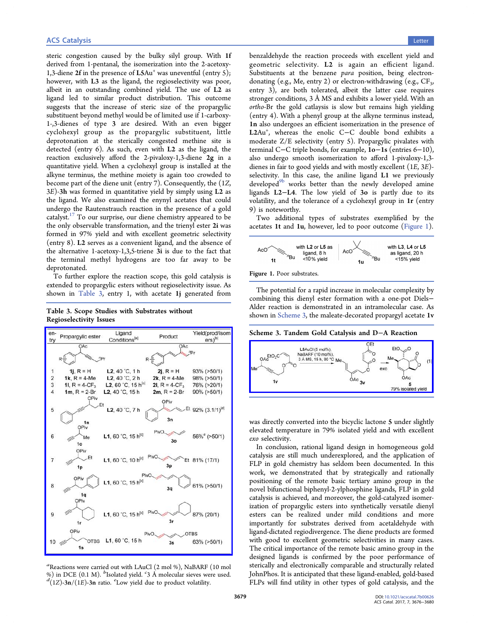steric congestion caused by the bulky silyl group. With 1f derived from 1-pentanal, the isomerization into the 2-acetoxy-1,3-diene  $2f$  in the presence of  $LSAu<sup>+</sup>$  was uneventful (entry 5); however, with L3 as the ligand, the regioselectivity was poor, albeit in an outstanding combined yield. The use of L2 as ligand led to similar product distribution. This outcome suggests that the increase of steric size of the propargylic substituent beyond methyl would be of limited use if 1-carboxy-1-,3-dienes of type 3 are desired. With an even bigger cyclohexyl group as the propargylic substituent, little deprotonation at the sterically congested methine site is detected (entry 6). As such, even with L2 as the ligand, the reaction exclusively afford the 2-pivaloxy-1,3-diene 2g in a quantitative yield. When a cyclohexyl group is installed at the alkyne terminus, the methine moiety is again too crowded to become part of the diene unit (entry 7). Consequently, the (1Z, 3E)-3h was formed in quantitative yield by simply using L2 as the ligand. We also examined the enynyl acetates that could undergo the Rautenstrauch reaction in the presence of a gold catalyst.[17](#page-4-0) To our surprise, our diene chemistry appeared to be the only observable transformation, and the trienyl ester 2i was formed in 97% yield and with excellent geometric selectivity (entry 8). L2 serves as a convenient ligand, and the absence of the alternative 1-acetoxy-1,3,5-triene 3i is due to the fact that the terminal methyl hydrogens are too far away to be deprotonated.

To further explore the reaction scope, this gold catalysis is extended to propargylic esters without regioselectivity issue. As shown in Table 3, entry 1, with acetate 1j generated from

Table 3. Scope Studies with Substrates without Regioselectivity Issues



 $a$ Reactions were carried out with LAuCl (2 mol %), NaBARF (10 mol A molecular sieves were used.<br>  $\frac{d}{dt}$ (17).3n/(1F).3n ratio. Tow yield due to product volatility  $(1Z)$ -3n/(1E)-3n ratio.  ${}^e$ Low yield due to product volatility.

benzaldehyde the reaction proceeds with excellent yield and geometric selectivity. L2 is again an efficient ligand. Substituents at the benzene para position, being electrondonating (e.g., Me, entry 2) or electron-withdrawing (e.g.,  $CF_3$ , entry 3), are both tolerated, albeit the latter case requires stronger conditions, 3 Å MS and exhibits a lower yield. With an ortho-Br the gold catlaysis is slow but remains high yielding (entry 4). With a phenyl group at the alkyne terminus instead, 1n also undergoes an efficient isomerization in the presence of L2Au+ , whereas the enolic C−C double bond exhibits a moderate Z/E selectivity (entry 5). Propargylic pivalates with terminal C−C triple bonds, for example, 1o−1s (entries 6−10), also undergo smooth isomerization to afford 1-pivaloxy-1,3 dienes in fair to good yields and with mostly excellent (1E, 3E) selectivity. In this case, the aniline ligand L1 we previously developed<sup>[9b](#page-4-0)</sup> works better than the newly developed amine ligands L2−L4. The low yield of 3o is partly due to its volatility, and the tolerance of a cyclohexyl group in 1r (entry 9) is noteworthy.

Two additional types of substrates exemplified by the acetates 1t and 1u, however, led to poor outcome (Figure 1).



The potential for a rapid increase in molecular complexity by combining this dienyl ester formation with a one-pot Diels− Alder reaction is demonstrated in an intramolecular case. As shown in Scheme 3, the maleate-decorated propargyl acetate 1v

Scheme 3. Tandem Gold Catalysis and D−A Reaction



was directly converted into the bicyclic lactone 5 under slightly elevated temperature in 79% isolated yield and with excellent exo selectivity.

In conclusion, rational ligand design in homogeneous gold catalysis are still much underexplored, and the application of FLP in gold chemistry has seldom been documented. In this work, we demonstrated that by strategically and rationally positioning of the remote basic tertiary amino group in the novel bifunctional biphenyl-2-ylphosphine ligands, FLP in gold catalysis is achieved, and moreover, the gold-catalyzed isomerization of propargylic esters into synthetically versatile dienyl esters can be realized under mild conditions and more importantly for substrates derived from acetaldehyde with ligand-dictated regiodivergence. The diene products are formed with good to excellent geometric selectivities in many cases. The critical importance of the remote basic amino group in the designed ligands is confirmed by the poor performance of sterically and electronically comparable and structurally related JohnPhos. It is anticipated that these ligand-enabled, gold-based FLPs will find utility in other types of gold catalysis, and the